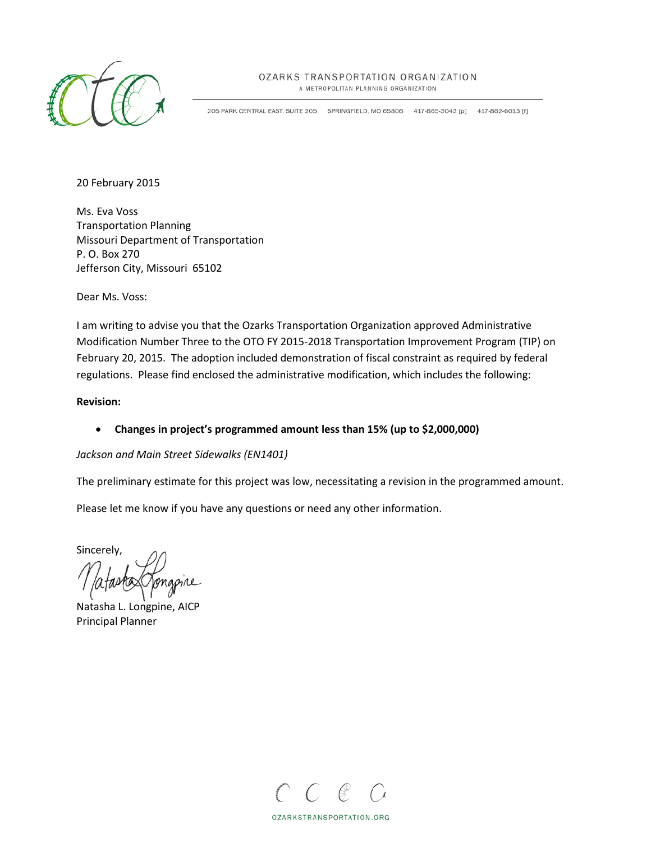

#### OZARKS TRANSPORTATION ORGANIZATION

A METROPOLITAN PLANNING ORGANIZATION

205 PARK CENTRAL EAST, SUITE 205 SPRINGFIELD, MO 65806 417-865-3042 [p] 417-862-6013 [f]

20 February 2015

Ms. Eva Voss Transportation Planning Missouri Department of Transportation P. O. Box 270 Jefferson City, Missouri 65102

Dear Ms. Voss:

I am writing to advise you that the Ozarks Transportation Organization approved Administrative Modification Number Three to the OTO FY 2015-2018 Transportation Improvement Program (TIP) on February 20, 2015. The adoption included demonstration of fiscal constraint as required by federal regulations. Please find enclosed the administrative modification, which includes the following:

#### **Revision:**

• **Changes in project's programmed amount less than 15% (up to \$2,000,000)**

#### *Jackson and Main Street Sidewalks (EN1401)*

The preliminary estimate for this project was low, necessitating a revision in the programmed amount.

Please let me know if you have any questions or need any other information.

Sincerely,

Natasha L. Longpine, AICP Principal Planner



OZARKSTRANSPORTATION.ORG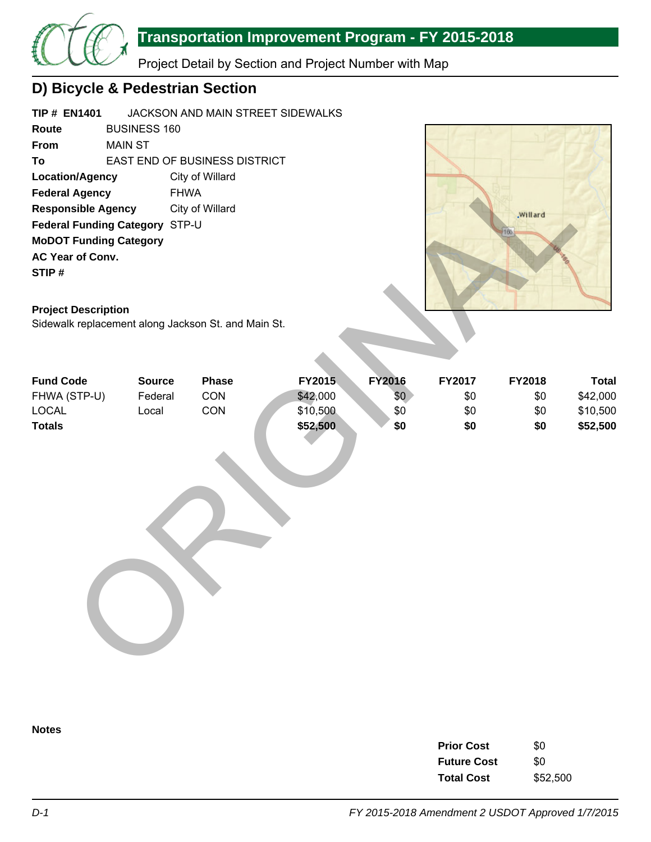

## **Transportation Improvement Program - FY 2015-2018**

Project Detail by Section and Project Number with Map

## **D) Bicycle & Pedestrian Section**

| <b>TIP # EN1401</b>             |         | JACKSON AND MAIN STREET SIDEWALKS    |  |  |  |  |  |  |  |
|---------------------------------|---------|--------------------------------------|--|--|--|--|--|--|--|
| Route                           |         | <b>BUSINESS 160</b>                  |  |  |  |  |  |  |  |
| <b>From</b>                     | MAIN ST |                                      |  |  |  |  |  |  |  |
| Τo                              |         | <b>EAST END OF BUSINESS DISTRICT</b> |  |  |  |  |  |  |  |
| Location/Agency                 |         | City of Willard                      |  |  |  |  |  |  |  |
| <b>Federal Agency</b>           |         | <b>FHWA</b>                          |  |  |  |  |  |  |  |
| <b>Responsible Agency</b>       |         | City of Willard                      |  |  |  |  |  |  |  |
| <b>Federal Funding Category</b> |         | STP-U                                |  |  |  |  |  |  |  |
| <b>MoDOT Funding Category</b>   |         |                                      |  |  |  |  |  |  |  |
| <b>AC Year of Conv.</b>         |         |                                      |  |  |  |  |  |  |  |
| STIP#                           |         |                                      |  |  |  |  |  |  |  |
|                                 |         |                                      |  |  |  |  |  |  |  |



### **Project Description**

| <b>Location/Agency</b><br><b>Federal Agency</b><br><b>Responsible Agency</b><br>Federal Funding Category STP-U<br><b>MoDOT Funding Category</b><br>AC Year of Conv.<br>STIP#<br><b>Project Description</b><br>Sidewalk replacement along Jackson St. and Main St. | <b>FHWA</b>                       | City of Willard<br>City of Willard |                                |                             |                      | .Willard<br>166      |                                      |
|-------------------------------------------------------------------------------------------------------------------------------------------------------------------------------------------------------------------------------------------------------------------|-----------------------------------|------------------------------------|--------------------------------|-----------------------------|----------------------|----------------------|--------------------------------------|
| <b>Fund Code</b><br>FHWA (STP-U)<br><b>LOCAL</b>                                                                                                                                                                                                                  | <b>Source</b><br>Federal<br>Local | <b>Phase</b><br>CON<br>CON         | FY2015<br>\$42,000<br>\$10,500 | <b>FY2016</b><br>\$0<br>\$0 | FY2017<br>\$0<br>\$0 | FY2018<br>\$0<br>\$0 | <b>Total</b><br>\$42,000<br>\$10,500 |
| <b>Totals</b>                                                                                                                                                                                                                                                     |                                   |                                    | \$52,500                       | \$0                         | \$0                  | \$0                  | \$52,500                             |

**Notes**

| <b>Prior Cost</b>  | \$0      |
|--------------------|----------|
| <b>Future Cost</b> | \$0      |
| <b>Total Cost</b>  | \$52,500 |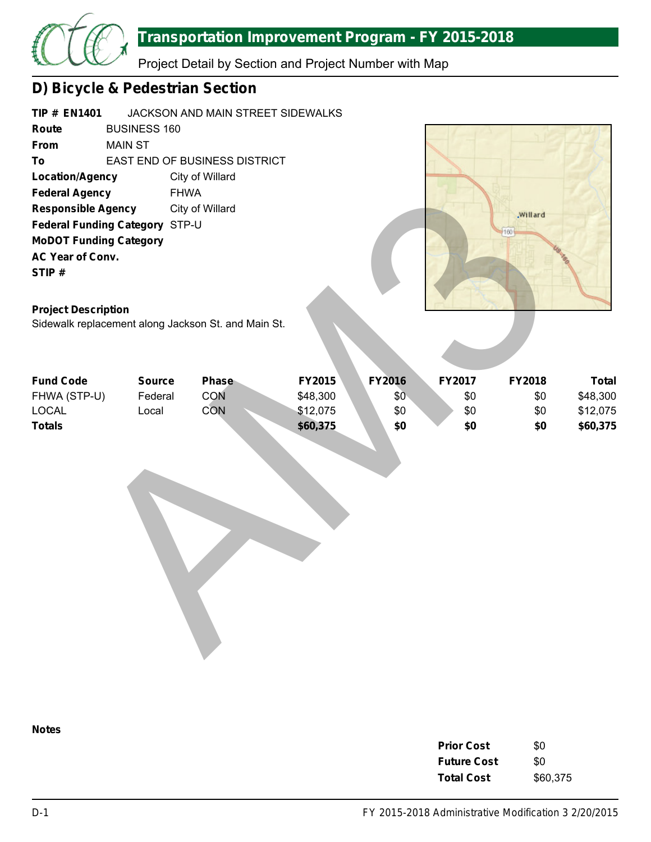

## **Transportation Improvement Program - FY 2015-2018**

Project Detail by Section and Project Number with Map

# **D) Bicycle & Pedestrian Section**

| <b>TIP # EN1401</b>           |                                |                                                     | JACKSON AND MAIN STREET SIDEWALKS |                  |            |            |
|-------------------------------|--------------------------------|-----------------------------------------------------|-----------------------------------|------------------|------------|------------|
| Route                         | <b>BUSINESS 160</b>            |                                                     |                                   |                  |            |            |
| From                          | <b>MAIN ST</b>                 |                                                     |                                   |                  |            |            |
| To                            |                                | EAST END OF BUSINESS DISTRICT                       |                                   |                  |            |            |
| <b>Location/Agency</b>        |                                | City of Willard                                     |                                   |                  |            |            |
| <b>Federal Agency</b>         |                                | <b>FHWA</b>                                         |                                   |                  |            |            |
| <b>Responsible Agency</b>     |                                | City of Willard                                     |                                   |                  |            | Willard    |
|                               | Federal Funding Category STP-U |                                                     |                                   |                  |            | 160        |
|                               | <b>MoDOT Funding Category</b>  |                                                     |                                   |                  |            |            |
| AC Year of Conv.              |                                |                                                     |                                   |                  |            |            |
| STIP#                         |                                |                                                     |                                   |                  |            |            |
|                               |                                |                                                     |                                   |                  |            |            |
| <b>Project Description</b>    |                                |                                                     |                                   |                  |            |            |
|                               |                                | Sidewalk replacement along Jackson St. and Main St. |                                   |                  |            |            |
|                               |                                |                                                     |                                   |                  |            |            |
|                               |                                |                                                     |                                   |                  |            |            |
|                               |                                |                                                     |                                   |                  |            |            |
| <b>Fund Code</b>              | <b>Source</b>                  | <b>Phase</b>                                        | FY2015                            | <b>FY2016</b>    | FY2017     | FY2018     |
| FHWA (STP-U)                  | Federal                        | <b>CON</b><br>CON                                   | \$48,300                          | \$0 <sub>0</sub> | \$0        | \$0        |
| <b>LOCAL</b><br><b>Totals</b> | Local                          |                                                     | \$12,075<br>\$60,375              | \$0<br>\$0       | \$0<br>\$0 | \$0<br>\$0 |
|                               |                                |                                                     |                                   |                  |            |            |
|                               |                                |                                                     |                                   |                  |            |            |
|                               |                                |                                                     |                                   |                  |            |            |
|                               |                                |                                                     |                                   |                  |            |            |
|                               |                                |                                                     |                                   |                  |            |            |
|                               |                                |                                                     |                                   |                  |            |            |
|                               |                                |                                                     |                                   |                  |            |            |
|                               |                                |                                                     |                                   |                  |            |            |
|                               |                                |                                                     |                                   |                  |            |            |
|                               |                                |                                                     |                                   |                  |            |            |
|                               |                                |                                                     |                                   |                  |            |            |
|                               |                                |                                                     |                                   |                  |            |            |
|                               |                                |                                                     |                                   |                  |            |            |
|                               |                                |                                                     |                                   |                  |            |            |
|                               |                                |                                                     |                                   |                  |            |            |

#### **Project Description**

| <b>Fund Code</b> | <b>Source</b> | <b>Phase</b> | <b>FY2015</b> | <b>FY2016</b> | <b>FY2017</b> | <b>FY2018</b> | Total    |
|------------------|---------------|--------------|---------------|---------------|---------------|---------------|----------|
| FHWA (STP-U)     | Federal       | CON          | \$48,300      | \$0           | \$0           | \$0           | \$48,300 |
| <b>LOCAL</b>     | Local         | <b>CON</b>   | \$12,075      | \$0           | \$0           | \$0           | \$12,075 |
| <b>Totals</b>    |               |              | \$60,375      | \$0           | \$0           | \$0           | \$60,375 |

**Notes**

| <b>Prior Cost</b>  | \$0      |
|--------------------|----------|
| <b>Future Cost</b> | \$0      |
| <b>Total Cost</b>  | \$60,375 |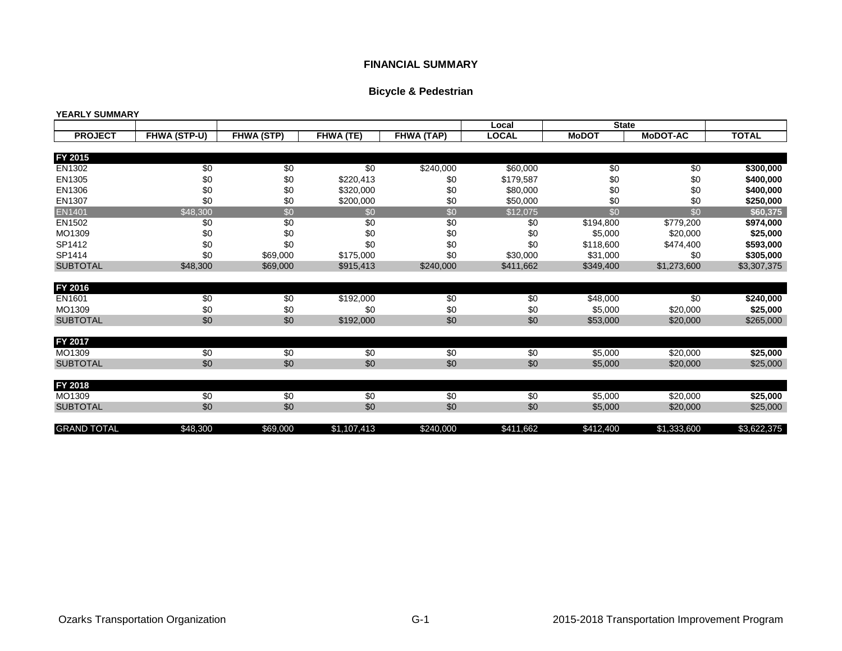#### **FINANCIAL SUMMARY**

### **Bicycle & Pedestrian**

|                    |              |                   |             |                 | Local        | <b>State</b> |                 |              |
|--------------------|--------------|-------------------|-------------|-----------------|--------------|--------------|-----------------|--------------|
| <b>PROJECT</b>     | FHWA (STP-U) | <b>FHWA (STP)</b> | FHWA (TE)   | FHWA (TAP)      | <b>LOCAL</b> | <b>MoDOT</b> | <b>MoDOT-AC</b> | <b>TOTAL</b> |
|                    |              |                   |             |                 |              |              |                 |              |
| FY 2015            |              |                   |             |                 |              |              |                 |              |
| EN1302             | \$0          | \$0               | \$0         | \$240,000       | \$60,000     | \$0          | \$0             | \$300,000    |
| EN1305             | \$0          | \$0               | \$220,413   | \$0             | \$179,587    | \$0          | \$0             | \$400,000    |
| EN1306             | \$0          | \$0               | \$320,000   | \$0             | \$80,000     | \$0          | \$0             | \$400,000    |
| EN1307             | \$0          | \$0               | \$200,000   | \$0             | \$50,000     | \$0          | \$0             | \$250,000    |
| EN1401             | \$48,300     | $\overline{50}$   | \$0         | $\overline{50}$ | \$12,075     | \$0          | \$0             | \$60,375     |
| EN1502             | \$0          | \$0               | \$0         | \$0             | \$0          | \$194,800    | \$779,200       | \$974,000    |
| MO1309             | \$0          | \$0               | \$0         | \$0             | \$0          | \$5,000      | \$20,000        | \$25,000     |
| SP1412             | \$0          | \$0               | \$0         | \$0             | \$0          | \$118,600    | \$474,400       | \$593,000    |
| SP1414             | \$0          | \$69,000          | \$175,000   | \$0             | \$30,000     | \$31,000     | \$0             | \$305,000    |
| <b>SUBTOTAL</b>    | \$48,300     | \$69,000          | \$915,413   | \$240,000       | \$411,662    | \$349,400    | \$1,273,600     | \$3,307,375  |
| FY 2016            |              |                   |             |                 |              |              |                 |              |
| EN1601             | \$0          | \$0               | \$192,000   | \$0             | \$0          | \$48,000     | \$0             | \$240,000    |
| MO1309             | \$0          | \$0               | \$0         | \$0             | \$0          | \$5,000      | \$20,000        | \$25,000     |
| <b>SUBTOTAL</b>    | \$0          | \$0               | \$192,000   | \$0             | \$0          | \$53,000     | \$20,000        | \$265,000    |
| FY 2017            |              |                   |             |                 |              |              |                 |              |
| MO1309             | \$0          | \$0               | \$0         | \$0             | \$0          | \$5,000      | \$20,000        | \$25,000     |
| <b>SUBTOTAL</b>    | \$0          | \$0               | \$0         | \$0             | \$0          | \$5,000      | \$20,000        | \$25,000     |
|                    |              |                   |             |                 |              |              |                 |              |
| FY 2018<br>MO1309  | $\sqrt{6}$   | $\sqrt{6}$        | $\sqrt{6}$  | $\sqrt{6}$      | $\sqrt{6}$   | \$5,000      | \$20,000        | \$25,000     |
| <b>SUBTOTAL</b>    | \$0          | \$0               | \$0         | \$0             | \$0          | \$5,000      | \$20,000        | \$25,000     |
| <b>GRAND TOTAL</b> | \$48,300     | \$69,000          | \$1,107,413 | \$240,000       | \$411,662    | \$412,400    | \$1,333,600     | \$3,622,375  |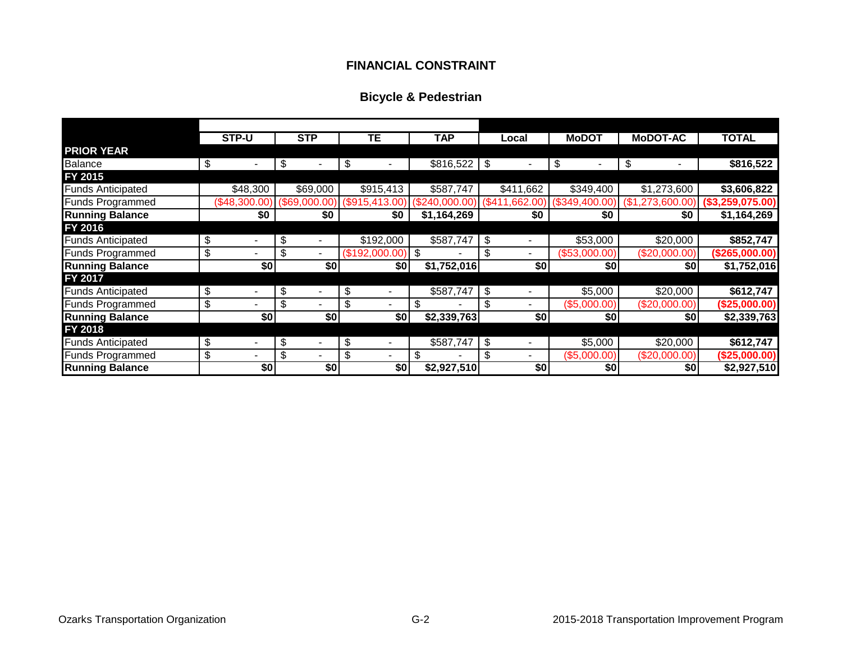### **FINANCIAL CONSTRAINT**

## **Bicycle & Pedestrian**

|                          |    | STP-U         | <b>STP</b>           | TЕ                 | <b>TAP</b>      | Local                          | <b>MoDOT</b>     | <b>MoDOT-AC</b> | <b>TOTAL</b>     |
|--------------------------|----|---------------|----------------------|--------------------|-----------------|--------------------------------|------------------|-----------------|------------------|
| <b>PRIOR YEAR</b>        |    |               |                      |                    |                 |                                |                  |                 |                  |
| <b>Balance</b>           | \$ |               | \$                   | \$                 | $$816,522$ \ \$ | $\blacksquare$                 | \$               | \$              | \$816,522        |
| FY 2015                  |    |               |                      |                    |                 |                                |                  |                 |                  |
| <b>Funds Anticipated</b> |    | \$48,300      | \$69,000             | \$915,413          | \$587,747       | \$411,662                      | \$349,400        | \$1,273,600     | \$3,606,822      |
| <b>Funds Programmed</b>  |    | (\$48,300.00) | (\$69,000.00)        | \$915,413.00       | 240.000.00`     | (\$411,662.00)                 | $($ \$349,400.00 | ,273,600.       | (\$3,259,075.00) |
| <b>Running Balance</b>   |    | \$0           | \$0                  | \$0                | \$1,164,269     | \$0                            | \$0              | \$0             | \$1,164,269      |
| FY 2016                  |    |               |                      |                    |                 |                                |                  |                 |                  |
| <b>Funds Anticipated</b> | \$ |               | \$                   | \$192,000          | \$587,747       | \$                             | \$53,000         | \$20,000        | \$852,747        |
| <b>Funds Programmed</b>  | \$ |               | \$                   | $($192,000.00)$ \$ |                 | \$<br>-                        | (\$53,000.00)    | (\$20,000.00)   | (\$265,000.00)   |
| <b>Running Balance</b>   |    | \$0           | \$0                  | \$0                | \$1,752,016     | \$0                            | \$0              | \$0             | \$1,752,016      |
| FY 2017                  |    |               |                      |                    |                 |                                |                  |                 |                  |
| <b>Funds Anticipated</b> | \$ | ۰             | \$<br>$\blacksquare$ | \$                 | \$587,747       | \$<br>$\overline{\phantom{a}}$ | \$5,000          | \$20,000        | \$612,747        |
| <b>Funds Programmed</b>  | \$ | -             | \$                   | \$                 | \$              | \$                             | (\$5,000.00)     | (\$20,000.00)   | (\$25,000.00)    |
| <b>Running Balance</b>   |    | \$0           | \$0                  | \$0                | \$2,339,763     | \$0                            | \$0              | \$0             | \$2,339,763      |
| FY 2018                  |    |               |                      |                    |                 |                                |                  |                 |                  |
| <b>Funds Anticipated</b> | S  |               | \$                   |                    | \$587,747       | \$                             | \$5,000          | \$20,000        | \$612,747        |
| <b>Funds Programmed</b>  | \$ |               | \$                   |                    | \$              | \$<br>Ξ.                       | (\$5,000.00)     | (\$20,000.00)   | (\$25,000.00)    |
| <b>Running Balance</b>   |    | \$0           | \$0                  | \$0                | \$2,927,510     | \$0                            | \$0              | \$0             | \$2,927,510      |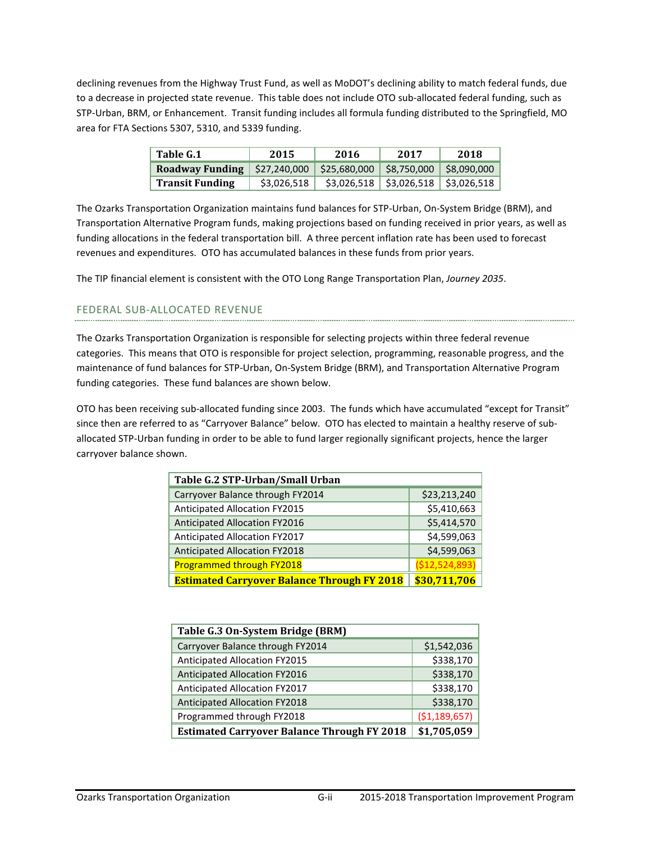declining revenues from the Highway Trust Fund, as well as MoDOT's declining ability to match federal funds, due to a decrease in projected state revenue. This table does not include OTO sub-allocated federal funding, such as STP-Urban, BRM, or Enhancement. Transit funding includes all formula funding distributed to the Springfield, MO area for FTA Sections 5307, 5310, and 5339 funding.

| Table G.1                            | 2015        | 2016         | 2017                      | 2018        |  |  |
|--------------------------------------|-------------|--------------|---------------------------|-------------|--|--|
| Roadway Funding $\vert$ \$27,240,000 |             | \$25,680,000 | \$8,750,000               | \$8,090,000 |  |  |
| <b>Transit Funding</b>               | \$3,026,518 |              | $$3,026,518$ $$3,026,518$ | \$3,026,518 |  |  |

The Ozarks Transportation Organization maintains fund balances for STP-Urban, On-System Bridge (BRM), and Transportation Alternative Program funds, making projections based on funding received in prior years, as well as funding allocations in the federal transportation bill. A three percent inflation rate has been used to forecast revenues and expenditures. OTO has accumulated balances in these funds from prior years.

The TIP financial element is consistent with the OTO Long Range Transportation Plan, *Journey 2035*.

#### FEDERAL SUB-ALLOCATED REVENUE

The Ozarks Transportation Organization is responsible for selecting projects within three federal revenue categories. This means that OTO is responsible for project selection, programming, reasonable progress, and the maintenance of fund balances for STP-Urban, On-System Bridge (BRM), and Transportation Alternative Program funding categories. These fund balances are shown below.

OTO has been receiving sub-allocated funding since 2003. The funds which have accumulated "except for Transit" since then are referred to as "Carryover Balance" below. OTO has elected to maintain a healthy reserve of suballocated STP-Urban funding in order to be able to fund larger regionally significant projects, hence the larger carryover balance shown.

| Table G.2 STP-Urban/Small Urban                    |                 |
|----------------------------------------------------|-----------------|
| Carryover Balance through FY2014                   | \$23,213,240    |
| Anticipated Allocation FY2015                      | \$5,410,663     |
| Anticipated Allocation FY2016                      | \$5,414,570     |
| Anticipated Allocation FY2017                      | \$4,599,063     |
| Anticipated Allocation FY2018                      | \$4,599,063     |
| Programmed through FY2018                          | ( \$12,524,893) |
| <b>Estimated Carryover Balance Through FY 2018</b> | \$30,711,706    |

| Table G.3 On-System Bridge (BRM)                   |                |
|----------------------------------------------------|----------------|
| Carryover Balance through FY2014                   | \$1,542,036    |
| Anticipated Allocation FY2015                      | \$338,170      |
| Anticipated Allocation FY2016                      | \$338,170      |
| Anticipated Allocation FY2017                      | \$338,170      |
| <b>Anticipated Allocation FY2018</b>               | \$338,170      |
| Programmed through FY2018                          | ( \$1,189,657) |
| <b>Estimated Carryover Balance Through FY 2018</b> | \$1,705,059    |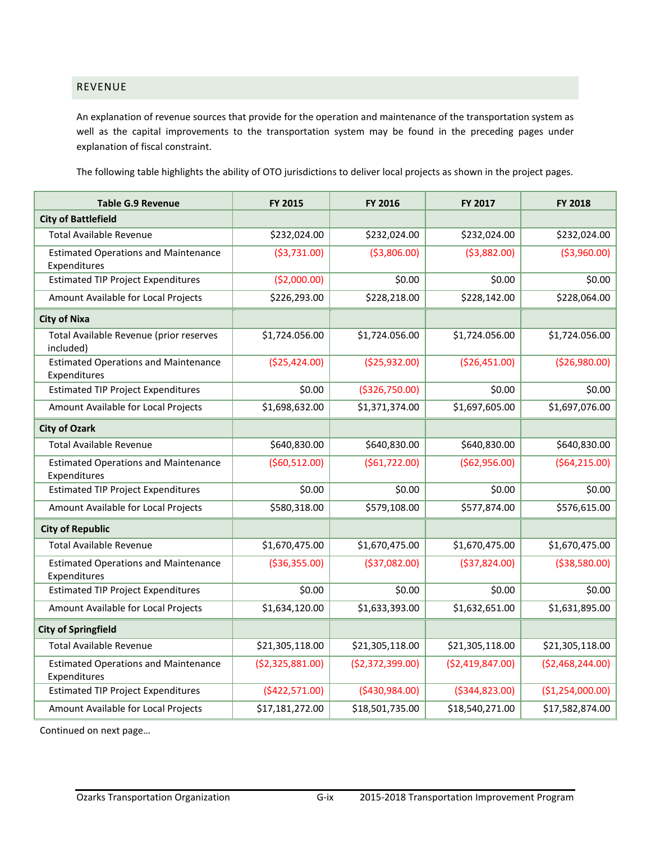### REVENUE

An explanation of revenue sources that provide for the operation and maintenance of the transportation system as well as the capital improvements to the transportation system may be found in the preceding pages under explanation of fiscal constraint.

The following table highlights the ability of OTO jurisdictions to deliver local projects as shown in the project pages.

| <b>Table G.9 Revenue</b>                                    | <b>FY 2015</b>   | FY 2016          | <b>FY 2017</b>   | <b>FY 2018</b>   |
|-------------------------------------------------------------|------------------|------------------|------------------|------------------|
| <b>City of Battlefield</b>                                  |                  |                  |                  |                  |
| <b>Total Available Revenue</b>                              | \$232,024.00     | \$232,024.00     | \$232,024.00     | \$232,024.00     |
| <b>Estimated Operations and Maintenance</b><br>Expenditures | ( \$3,731.00)    | ( \$3,806.00)    | ( \$3,882.00)    | ( \$3,960.00)    |
| <b>Estimated TIP Project Expenditures</b>                   | (\$2,000.00)     | \$0.00           | \$0.00           | \$0.00           |
| Amount Available for Local Projects                         | \$226,293.00     | \$228,218.00     | \$228,142.00     | \$228,064.00     |
| <b>City of Nixa</b>                                         |                  |                  |                  |                  |
| Total Available Revenue (prior reserves<br>included)        | \$1,724.056.00   | \$1,724.056.00   | \$1,724.056.00   | \$1,724.056.00   |
| <b>Estimated Operations and Maintenance</b><br>Expenditures | (\$25,424.00)    | ( \$25, 932.00)  | (\$26,451.00)    | (\$26,980.00)    |
| <b>Estimated TIP Project Expenditures</b>                   | \$0.00           | ( \$326, 750.00) | \$0.00           | \$0.00           |
| Amount Available for Local Projects                         | \$1,698,632.00   | \$1,371,374.00   | \$1,697,605.00   | \$1,697,076.00   |
| <b>City of Ozark</b>                                        |                  |                  |                  |                  |
| <b>Total Available Revenue</b>                              | \$640,830.00     | \$640,830.00     | \$640,830.00     | \$640,830.00     |
| <b>Estimated Operations and Maintenance</b><br>Expenditures | (560, 512.00)    | ( \$61, 722.00)  | (\$62,956.00)    | (564, 215.00)    |
| <b>Estimated TIP Project Expenditures</b>                   | \$0.00           | \$0.00           | \$0.00           | \$0.00           |
| Amount Available for Local Projects                         | \$580,318.00     | \$579,108.00     | \$577,874.00     | \$576,615.00     |
| <b>City of Republic</b>                                     |                  |                  |                  |                  |
| <b>Total Available Revenue</b>                              | \$1,670,475.00   | \$1,670,475.00   | \$1,670,475.00   | \$1,670,475.00   |
| <b>Estimated Operations and Maintenance</b><br>Expenditures | ( \$36, 355.00)  | ( \$37,082.00)   | ( \$37, 824.00)  | ( \$38,580.00)   |
| <b>Estimated TIP Project Expenditures</b>                   | \$0.00           | \$0.00           | \$0.00           | \$0.00           |
| Amount Available for Local Projects                         | \$1,634,120.00   | \$1,633,393.00   | \$1,632,651.00   | \$1,631,895.00   |
| <b>City of Springfield</b>                                  |                  |                  |                  |                  |
| <b>Total Available Revenue</b>                              | \$21,305,118.00  | \$21,305,118.00  | \$21,305,118.00  | \$21,305,118.00  |
| <b>Estimated Operations and Maintenance</b><br>Expenditures | (\$2,325,881.00) | (\$2,372,399.00) | (\$2,419,847.00) | (\$2,468,244.00) |
| <b>Estimated TIP Project Expenditures</b>                   | (\$422,571.00)   | ( \$430, 984.00) | ( \$344, 823.00) | (\$1,254,000.00) |
| Amount Available for Local Projects                         | \$17,181,272.00  | \$18,501,735.00  | \$18,540,271.00  | \$17,582,874.00  |

Continued on next page…